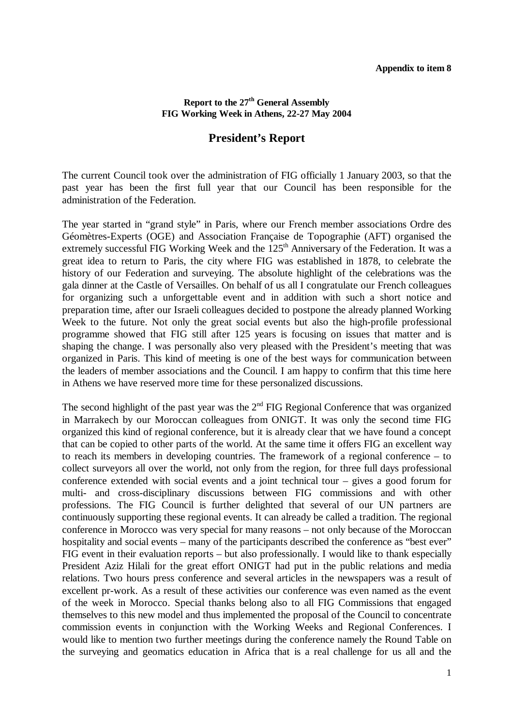## **Appendix to item 8**

## **Report to the 27th General Assembly FIG Working Week in Athens, 22-27 May 2004**

## **President's Report**

The current Council took over the administration of FIG officially 1 January 2003, so that the past year has been the first full year that our Council has been responsible for the administration of the Federation.

The year started in "grand style" in Paris, where our French member associations Ordre des Géomètres-Experts (OGE) and Association Française de Topographie (AFT) organised the extremely successful FIG Working Week and the 125<sup>th</sup> Anniversary of the Federation. It was a great idea to return to Paris, the city where FIG was established in 1878, to celebrate the history of our Federation and surveying. The absolute highlight of the celebrations was the gala dinner at the Castle of Versailles. On behalf of us all I congratulate our French colleagues for organizing such a unforgettable event and in addition with such a short notice and preparation time, after our Israeli colleagues decided to postpone the already planned Working Week to the future. Not only the great social events but also the high-profile professional programme showed that FIG still after 125 years is focusing on issues that matter and is shaping the change. I was personally also very pleased with the President's meeting that was organized in Paris. This kind of meeting is one of the best ways for communication between the leaders of member associations and the Council. I am happy to confirm that this time here in Athens we have reserved more time for these personalized discussions.

The second highlight of the past year was the  $2<sup>nd</sup> FIG Regional Conference that was organized$ in Marrakech by our Moroccan colleagues from ONIGT. It was only the second time FIG organized this kind of regional conference, but it is already clear that we have found a concept that can be copied to other parts of the world. At the same time it offers FIG an excellent way to reach its members in developing countries. The framework of a regional conference – to collect surveyors all over the world, not only from the region, for three full days professional conference extended with social events and a joint technical tour – gives a good forum for multi- and cross-disciplinary discussions between FIG commissions and with other professions. The FIG Council is further delighted that several of our UN partners are continuously supporting these regional events. It can already be called a tradition. The regional conference in Morocco was very special for many reasons – not only because of the Moroccan hospitality and social events – many of the participants described the conference as "best ever" FIG event in their evaluation reports – but also professionally. I would like to thank especially President Aziz Hilali for the great effort ONIGT had put in the public relations and media relations. Two hours press conference and several articles in the newspapers was a result of excellent pr-work. As a result of these activities our conference was even named as the event of the week in Morocco. Special thanks belong also to all FIG Commissions that engaged themselves to this new model and thus implemented the proposal of the Council to concentrate commission events in conjunction with the Working Weeks and Regional Conferences. I would like to mention two further meetings during the conference namely the Round Table on the surveying and geomatics education in Africa that is a real challenge for us all and the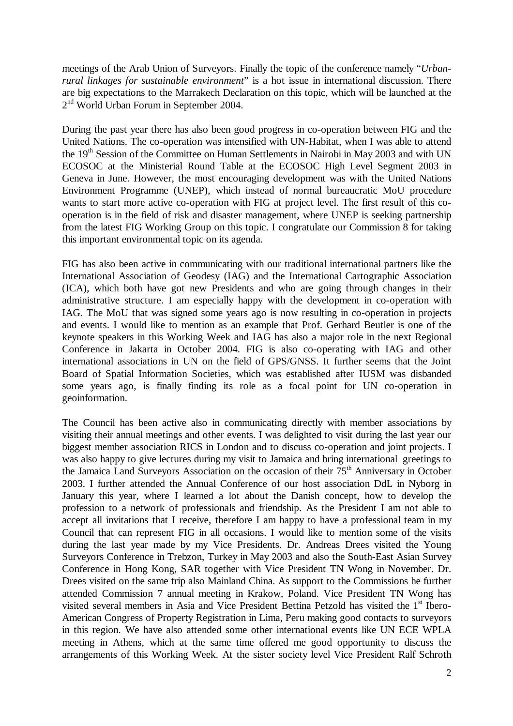meetings of the Arab Union of Surveyors. Finally the topic of the conference namely "*Urbanrural linkages for sustainable environment*" is a hot issue in international discussion. There are big expectations to the Marrakech Declaration on this topic, which will be launched at the 2<sup>nd</sup> World Urban Forum in September 2004.

During the past year there has also been good progress in co-operation between FIG and the United Nations. The co-operation was intensified with UN-Habitat, when I was able to attend the 19<sup>th</sup> Session of the Committee on Human Settlements in Nairobi in May 2003 and with UN ECOSOC at the Ministerial Round Table at the ECOSOC High Level Segment 2003 in Geneva in June. However, the most encouraging development was with the United Nations Environment Programme (UNEP), which instead of normal bureaucratic MoU procedure wants to start more active co-operation with FIG at project level. The first result of this cooperation is in the field of risk and disaster management, where UNEP is seeking partnership from the latest FIG Working Group on this topic. I congratulate our Commission 8 for taking this important environmental topic on its agenda.

FIG has also been active in communicating with our traditional international partners like the International Association of Geodesy (IAG) and the International Cartographic Association (ICA), which both have got new Presidents and who are going through changes in their administrative structure. I am especially happy with the development in co-operation with IAG. The MoU that was signed some years ago is now resulting in co-operation in projects and events. I would like to mention as an example that Prof. Gerhard Beutler is one of the keynote speakers in this Working Week and IAG has also a major role in the next Regional Conference in Jakarta in October 2004. FIG is also co-operating with IAG and other international associations in UN on the field of GPS/GNSS. It further seems that the Joint Board of Spatial Information Societies, which was established after IUSM was disbanded some years ago, is finally finding its role as a focal point for UN co-operation in geoinformation.

The Council has been active also in communicating directly with member associations by visiting their annual meetings and other events. I was delighted to visit during the last year our biggest member association RICS in London and to discuss co-operation and joint projects. I was also happy to give lectures during my visit to Jamaica and bring international greetings to the Jamaica Land Surveyors Association on the occasion of their 75<sup>th</sup> Anniversary in October 2003. I further attended the Annual Conference of our host association DdL in Nyborg in January this year, where I learned a lot about the Danish concept, how to develop the profession to a network of professionals and friendship. As the President I am not able to accept all invitations that I receive, therefore I am happy to have a professional team in my Council that can represent FIG in all occasions. I would like to mention some of the visits during the last year made by my Vice Presidents. Dr. Andreas Drees visited the Young Surveyors Conference in Trebzon, Turkey in May 2003 and also the South-East Asian Survey Conference in Hong Kong, SAR together with Vice President TN Wong in November. Dr. Drees visited on the same trip also Mainland China. As support to the Commissions he further attended Commission 7 annual meeting in Krakow, Poland. Vice President TN Wong has visited several members in Asia and Vice President Bettina Petzold has visited the 1<sup>st</sup> Ibero-American Congress of Property Registration in Lima, Peru making good contacts to surveyors in this region. We have also attended some other international events like UN ECE WPLA meeting in Athens, which at the same time offered me good opportunity to discuss the arrangements of this Working Week. At the sister society level Vice President Ralf Schroth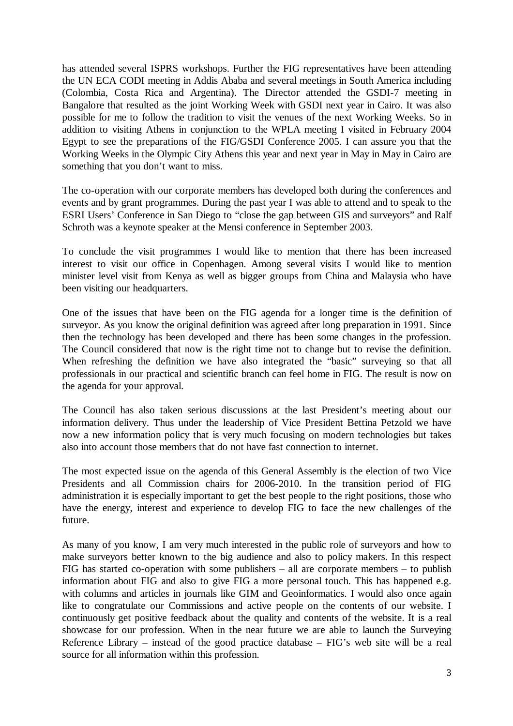has attended several ISPRS workshops. Further the FIG representatives have been attending the UN ECA CODI meeting in Addis Ababa and several meetings in South America including (Colombia, Costa Rica and Argentina). The Director attended the GSDI-7 meeting in Bangalore that resulted as the joint Working Week with GSDI next year in Cairo. It was also possible for me to follow the tradition to visit the venues of the next Working Weeks. So in addition to visiting Athens in conjunction to the WPLA meeting I visited in February 2004 Egypt to see the preparations of the FIG/GSDI Conference 2005. I can assure you that the Working Weeks in the Olympic City Athens this year and next year in May in May in Cairo are something that you don't want to miss.

The co-operation with our corporate members has developed both during the conferences and events and by grant programmes. During the past year I was able to attend and to speak to the ESRI Users' Conference in San Diego to "close the gap between GIS and surveyors" and Ralf Schroth was a keynote speaker at the Mensi conference in September 2003.

To conclude the visit programmes I would like to mention that there has been increased interest to visit our office in Copenhagen. Among several visits I would like to mention minister level visit from Kenya as well as bigger groups from China and Malaysia who have been visiting our headquarters.

One of the issues that have been on the FIG agenda for a longer time is the definition of surveyor. As you know the original definition was agreed after long preparation in 1991. Since then the technology has been developed and there has been some changes in the profession. The Council considered that now is the right time not to change but to revise the definition. When refreshing the definition we have also integrated the "basic" surveying so that all professionals in our practical and scientific branch can feel home in FIG. The result is now on the agenda for your approval.

The Council has also taken serious discussions at the last President's meeting about our information delivery. Thus under the leadership of Vice President Bettina Petzold we have now a new information policy that is very much focusing on modern technologies but takes also into account those members that do not have fast connection to internet.

The most expected issue on the agenda of this General Assembly is the election of two Vice Presidents and all Commission chairs for 2006-2010. In the transition period of FIG administration it is especially important to get the best people to the right positions, those who have the energy, interest and experience to develop FIG to face the new challenges of the future.

As many of you know, I am very much interested in the public role of surveyors and how to make surveyors better known to the big audience and also to policy makers. In this respect FIG has started co-operation with some publishers – all are corporate members – to publish information about FIG and also to give FIG a more personal touch. This has happened e.g. with columns and articles in journals like GIM and Geoinformatics. I would also once again like to congratulate our Commissions and active people on the contents of our website. I continuously get positive feedback about the quality and contents of the website. It is a real showcase for our profession. When in the near future we are able to launch the Surveying Reference Library – instead of the good practice database – FIG's web site will be a real source for all information within this profession.